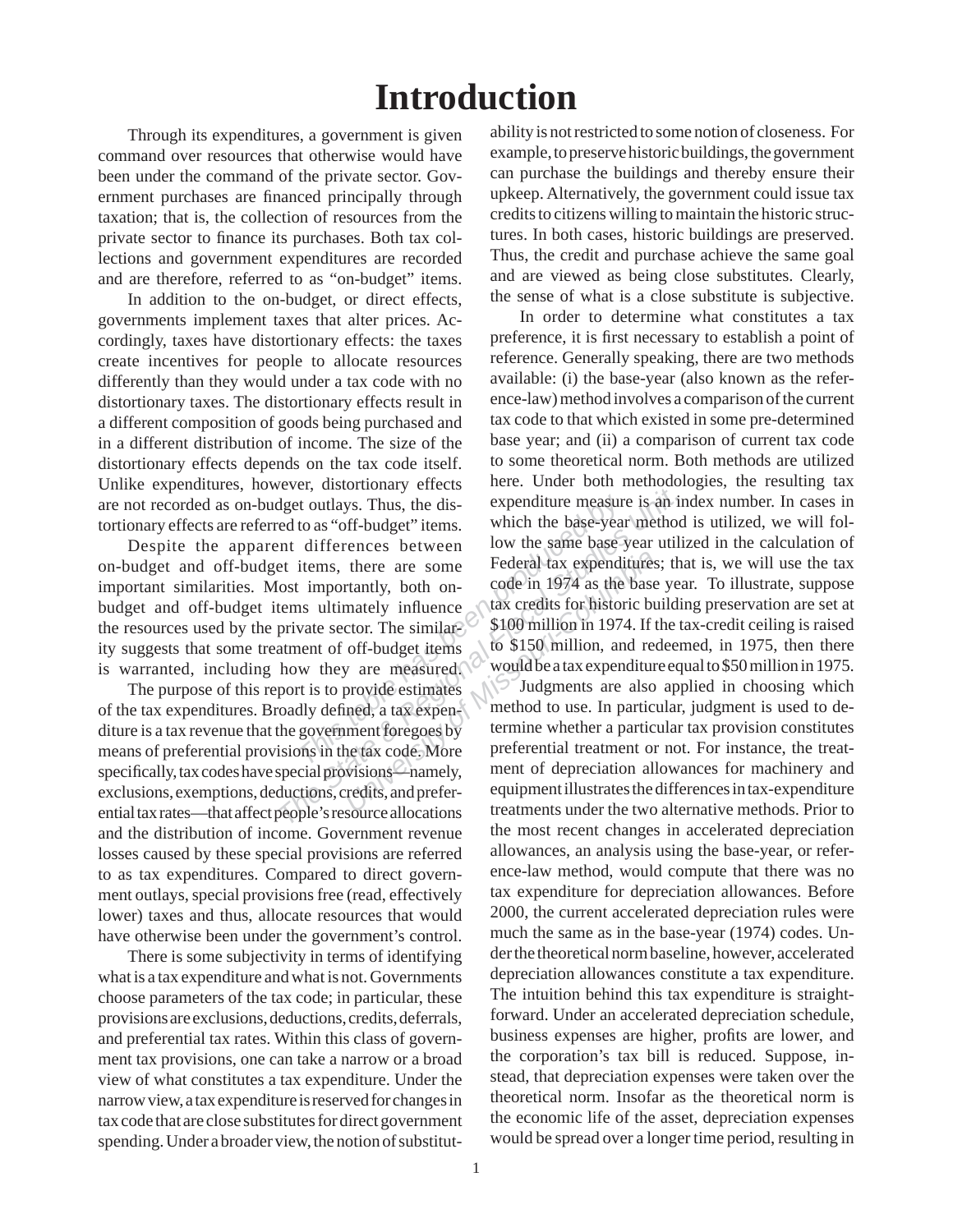## **Introduction**

 Through its expenditures, a government is given command over resources that otherwise would have been under the command of the private sector. Government purchases are financed principally through taxation; that is, the collection of resources from the private sector to finance its purchases. Both tax collections and government expenditures are recorded and are therefore, referred to as "on-budget" items.

 In addition to the on-budget, or direct effects, governments implement taxes that alter prices. Accordingly, taxes have distortionary effects: the taxes create incentives for people to allocate resources differently than they would under a tax code with no distortionary taxes. The distortionary effects result in a different composition of goods being purchased and in a different distribution of income. The size of the distortionary effects depends on the tax code itself. Unlike expenditures, however, distortionary effects are not recorded as on-budget outlays. Thus, the distortionary effects are referred to as "off-budget" items.

 Despite the apparent differences between on-budget and off-budget items, there are some important similarities. Most importantly, both onbudget and off-budget items ultimately influence the resources used by the private sector. The similar $\odot$ ity suggests that some treatment of off-budget items is warranted, including how they are measured.

 The purpose of this report is to provide estimates of the tax expenditures. Broadly defined, a tax expen- $\langle$ diture is a tax revenue that the government foregoes by means of preferential provisions in the tax code. More specifically, tax codes have special provisions—namely, exclusions, exemptions, deductions, credits, and preferential tax rates—that affect people's resource allocations and the distribution of income. Government revenue losses caused by these special provisions are referred to as tax expenditures. Compared to direct government outlays, special provisions free (read, effectively lower) taxes and thus, allocate resources that would have otherwise been under the government's control.

 There is some subjectivity in terms of identifying what is a tax expenditure and what is not. Governments choose parameters of the tax code; in particular, these provisions are exclusions, deductions, credits, deferrals, and preferential tax rates. Within this class of government tax provisions, one can take a narrow or a broad view of what constitutes a tax expenditure. Under the narrow view, a tax expenditure is reserved for changes in tax code that are close substitutes for direct government spending. Under a broader view, the notion of substitutability is not restricted to some notion of closeness. For example, to preserve historic buildings, the government can purchase the buildings and thereby ensure their upkeep. Alternatively, the government could issue tax credits to citizens willing to maintain the historic structures. In both cases, historic buildings are preserved. Thus, the credit and purchase achieve the same goal and are viewed as being close substitutes. Clearly, the sense of what is a close substitute is subjective.

*Thus, the discreed to as "off-budget"* items.<br> *This increase to as "off-budget"* items.<br> *This increase items, there are some*<br> *The simportantly, both on-*<br> *The similare The similare The similare The similare T* Expenditure measure is an independent of the discussion of the discussion of the state of the state of the state of the state of the state of the state of the state of the state of the state of the state of the state of th In order to determine what constitutes a tax preference, it is first necessary to establish a point of reference. Generally speaking, there are two methods available: (i) the base-year (also known as the reference-law) method involves a comparison of the current tax code to that which existed in some pre-determined base year; and (ii) a comparison of current tax code to some theoretical norm. Both methods are utilized here. Under both methodologies, the resulting tax expenditure measure is an index number. In cases in which the base-year method is utilized, we will follow the same base year utilized in the calculation of Federal tax expenditures; that is, we will use the tax code in 1974 as the base year. To illustrate, suppose tax credits for historic building preservation are set at \$100 million in 1974. If the tax-credit ceiling is raised to \$150 million, and redeemed, in 1975, then there would be a tax expenditure equal to \$50 million in 1975.

Federal tax expenditures<br>
tantly, both on-<br>
code in 1974 as the base<br>
mately influence<br>
tax credits for historic but<br>
tor. The similar \$100 million in 1974. If toff-budget items<br>
to \$150 million, and ree<br>
vare measured.<br>
w Judgments are also applied in choosing which method to use. In particular, judgment is used to determine whether a particular tax provision constitutes preferential treatment or not. For instance, the treatment of depreciation allowances for machinery and equipment illustrates the differences in tax-expenditure treatments under the two alternative methods. Prior to the most recent changes in accelerated depreciation allowances, an analysis using the base-year, or reference-law method, would compute that there was no tax expenditure for depreciation allowances. Before 2000, the current accelerated depreciation rules were much the same as in the base-year (1974) codes. Under the theoretical norm baseline, however, accelerated depreciation allowances constitute a tax expenditure. The intuition behind this tax expenditure is straightforward. Under an accelerated depreciation schedule, business expenses are higher, profits are lower, and the corporation's tax bill is reduced. Suppose, instead, that depreciation expenses were taken over the theoretical norm. Insofar as the theoretical norm is the economic life of the asset, depreciation expenses would be spread over a longer time period, resulting in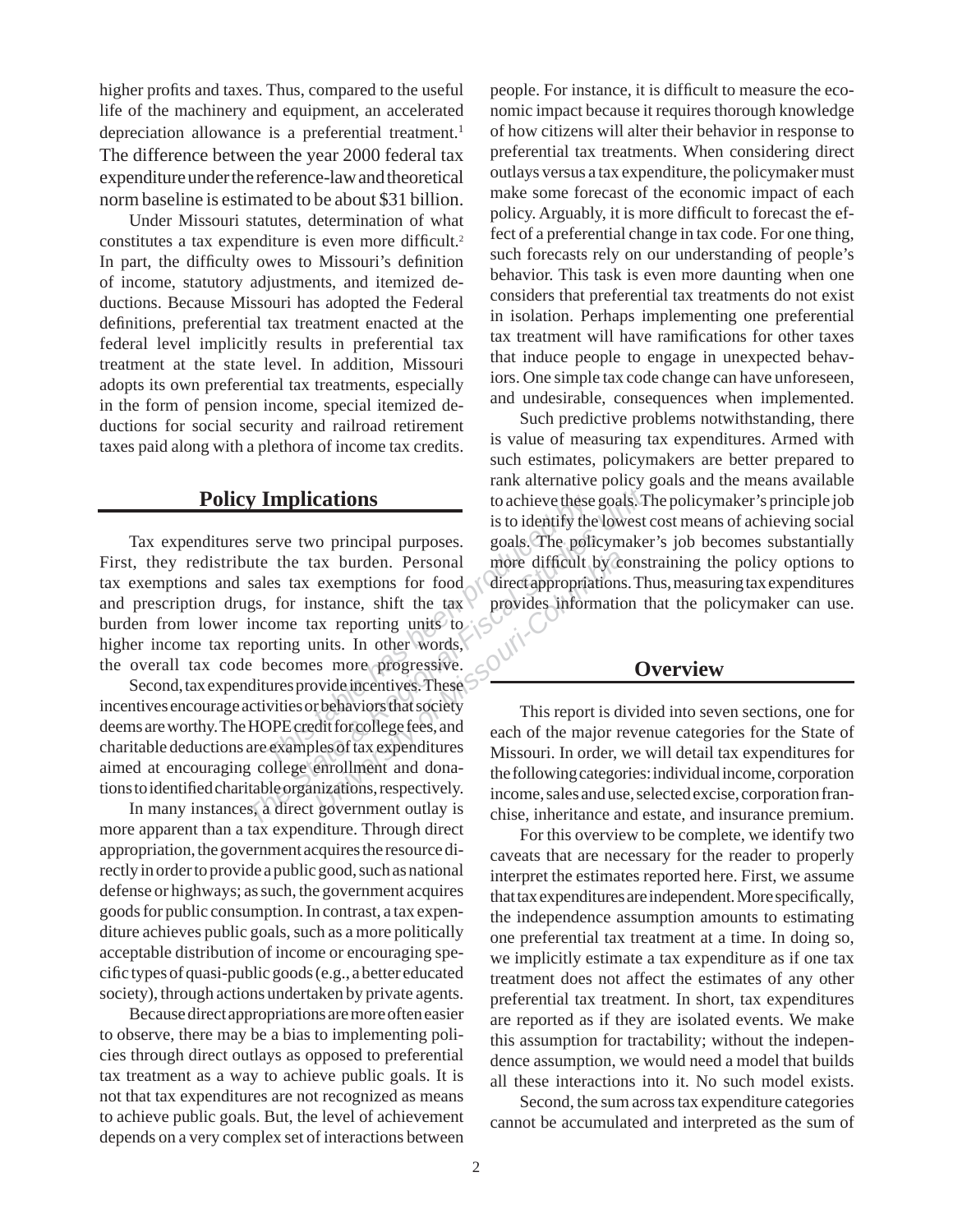higher profits and taxes. Thus, compared to the useful life of the machinery and equipment, an accelerated depreciation allowance is a preferential treatment.<sup>1</sup> The difference between the year 2000 federal tax expenditure under the reference-law and theoretical norm baseline is estimated to be about \$31 billion.

 Under Missouri statutes, determination of what constitutes a tax expenditure is even more difficult.<sup>2</sup> In part, the difficulty owes to Missouri's definition of income, statutory adjustments, and itemized deductions. Because Missouri has adopted the Federal definitions, preferential tax treatment enacted at the federal level implicitly results in preferential tax treatment at the state level. In addition, Missouri adopts its own preferential tax treatments, especially in the form of pension income, special itemized deductions for social security and railroad retirement taxes paid along with a plethora of income tax credits.

## **Policy Implications**

**The Examplications** to achieve these<br>
is to identify the<br>
rive two principal purposes. goals. The policities<br>
tax burden. Personal more difficult<br>
es tax exemptions for food<br>
for instance, shift the tax<br>
provides inform<br> **IMPLICATIONS**<br> **Examplications**<br> **Examplications**<br> **Examplications**<br> **Example 18 and 20 and 20 and 20 and 20 and 20 and 20 and 20 and 20 and 20 and 20 and 20 and 20 and 20 and 20 and 20 and 20 and 20 and 20 and 20 and 20 Example 18 Exceptions** for food<br> **UNIVER EXECUTE IN THE ANCE CONTROLLER SERVING SERVICE SERVICE SERVICE SERVICE SERVICE SERVICE SERVICE SERVICE SERVICE SERVICE SERVICE SERVICE SERVICE SERVICE SERVICE SERVICE SERVICE SERVI**  Tax expenditures serve two principal purposes. First, they redistribute the tax burden. Personal tax exemptions and sales tax exemptions for food and prescription drugs, for instance, shift the tax burden from lower income tax reporting units to higher income tax reporting units. In other words, the overall tax code becomes more progressive.

 Second, tax expenditures provide incentives. These incentives encourage activities or behaviors that society deems are worthy. The HOPE credit for college fees, and charitable deductions are examples of tax expenditures aimed at encouraging college enrollment and donations to identified charitable organizations, respectively.

 In many instances, a direct government outlay is more apparent than a tax expenditure. Through direct appropriation, the government acquires the resource directly in order to provide a public good, such as national defense or highways; as such, the government acquires goods for public consumption. In contrast, a tax expenditure achieves public goals, such as a more politically acceptable distribution of income or encouraging specific types of quasi-public goods (e.g., a better educated society), through actions undertaken by private agents.

 Because direct appropriations are more often easier to observe, there may be a bias to implementing policies through direct outlays as opposed to preferential tax treatment as a way to achieve public goals. It is not that tax expenditures are not recognized as means to achieve public goals. But, the level of achievement depends on a very complex set of interactions between

people. For instance, it is difficult to measure the economic impact because it requires thorough knowledge of how citizens will alter their behavior in response to preferential tax treatments. When considering direct outlays versus a tax expenditure, the policymaker must make some forecast of the economic impact of each policy. Arguably, it is more difficult to forecast the effect of a preferential change in tax code. For one thing, such forecasts rely on our understanding of people's behavior. This task is even more daunting when one considers that preferential tax treatments do not exist in isolation. Perhaps implementing one preferential tax treatment will have ramifications for other taxes that induce people to engage in unexpected behaviors. One simple tax code change can have unforeseen, and undesirable, consequences when implemented.

 Such predictive problems notwithstanding, there is value of measuring tax expenditures. Armed with such estimates, policymakers are better prepared to rank alternative policy goals and the means available to achieve these goals. The policymaker's principle job is to identify the lowest cost means of achieving social goals. The policymaker's job becomes substantially more difficult by constraining the policy options to direct appropriations. Thus, measuring tax expenditures provides information that the policymaker can use.

## **Overview**

 This report is divided into seven sections, one for each of the major revenue categories for the State of Missouri. In order, we will detail tax expenditures for the following categories: individual income, corporation income, sales and use, selected excise, corporation franchise, inheritance and estate, and insurance premium.

 For this overview to be complete, we identify two caveats that are necessary for the reader to properly interpret the estimates reported here. First, we assume that tax expenditures are independent. More specifically, the independence assumption amounts to estimating one preferential tax treatment at a time. In doing so, we implicitly estimate a tax expenditure as if one tax treatment does not affect the estimates of any other preferential tax treatment. In short, tax expenditures are reported as if they are isolated events. We make this assumption for tractability; without the independence assumption, we would need a model that builds all these interactions into it. No such model exists.

 Second, the sum across tax expenditure categories cannot be accumulated and interpreted as the sum of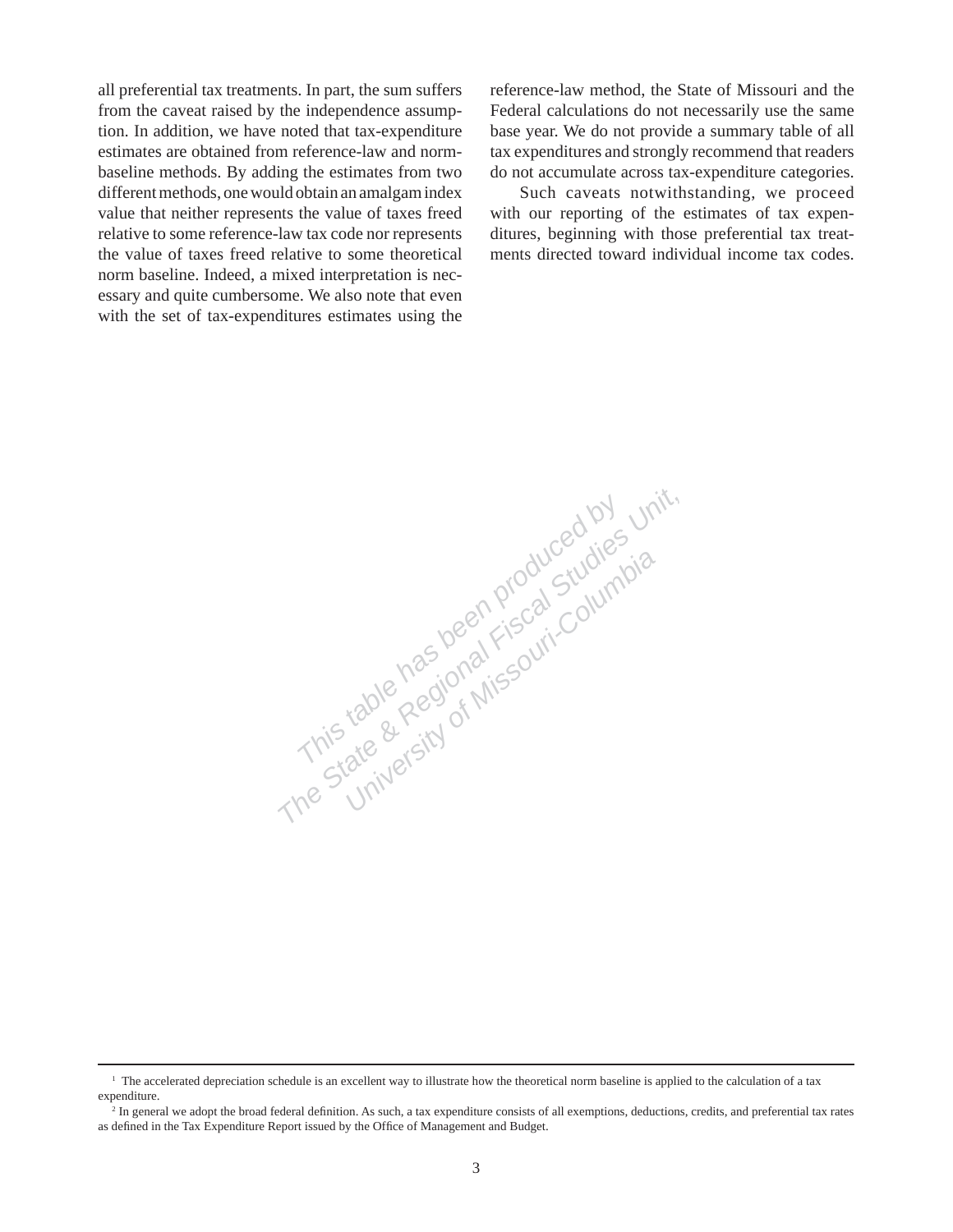all preferential tax treatments. In part, the sum suffers from the caveat raised by the independence assumption. In addition, we have noted that tax-expenditure estimates are obtained from reference-law and normbaseline methods. By adding the estimates from two different methods, one would obtain an amalgam index value that neither represents the value of taxes freed relative to some reference-law tax code nor represents the value of taxes freed relative to some theoretical norm baseline. Indeed, a mixed interpretation is necessary and quite cumbersome. We also note that even with the set of tax-expenditures estimates using the reference-law method, the State of Missouri and the Federal calculations do not necessarily use the same base year. We do not provide a summary table of all tax expenditures and strongly recommend that readers do not accumulate across tax-expenditure categories.

 Such caveats notwithstanding, we proceed with our reporting of the estimates of tax expenditures, beginning with those preferential tax treatments directed toward individual income tax codes.

This table has been produced by unit,<br>This table has been produced by unit,<br>This table Regional Fiscal Studies by<br>This table Regional Fiscal Studies by

<sup>&</sup>lt;sup>1</sup> The accelerated depreciation schedule is an excellent way to illustrate how the theoretical norm baseline is applied to the calculation of a tax expenditure.

<sup>&</sup>lt;sup>2</sup> In general we adopt the broad federal definition. As such, a tax expenditure consists of all exemptions, deductions, credits, and preferential tax rates as defined in the Tax Expenditure Report issued by the Office of Management and Budget.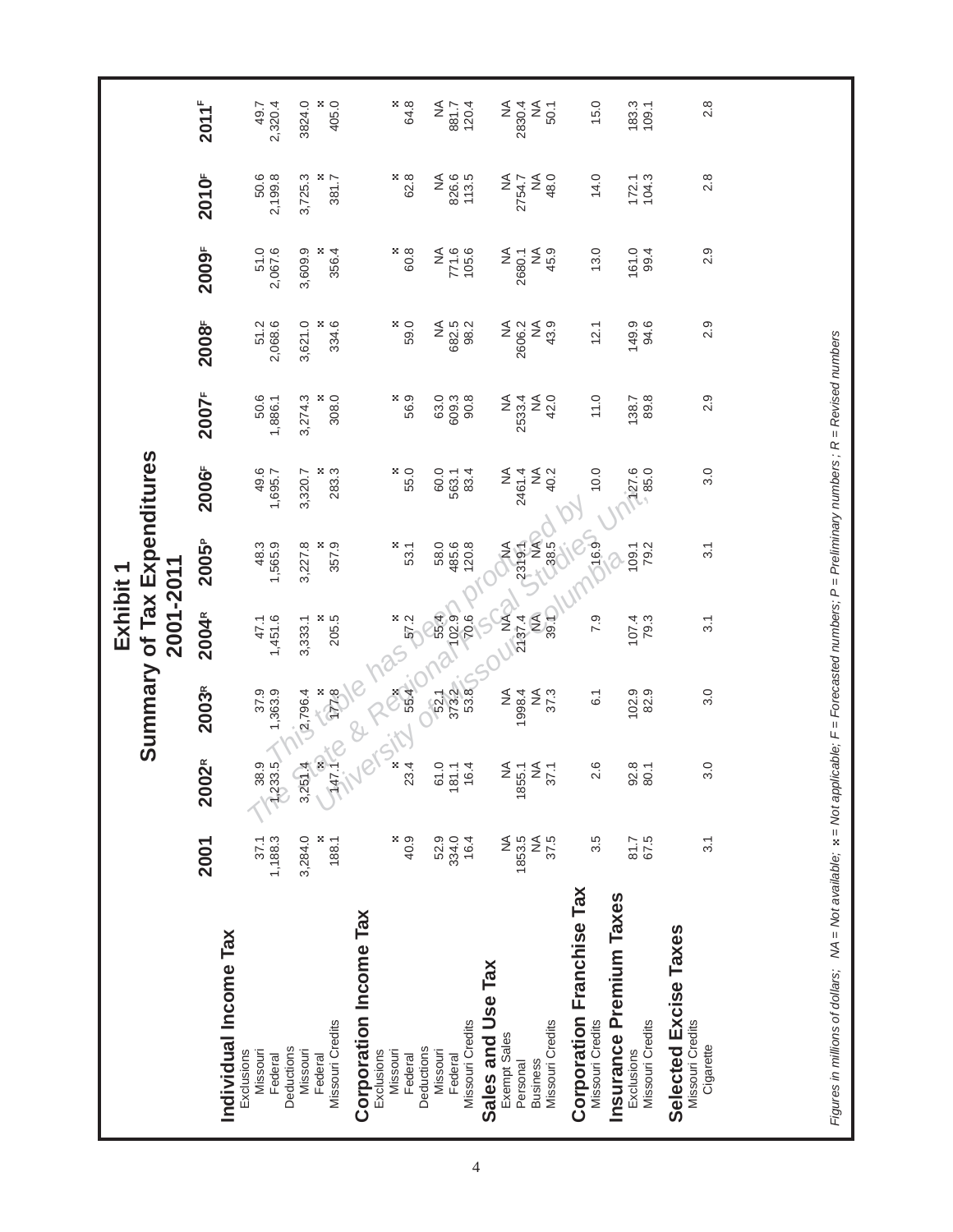|                                                                                                                                               |                                           |                             |                  | Exhibit 1        |                                |                              |                      |                              |                                      |                         |                |
|-----------------------------------------------------------------------------------------------------------------------------------------------|-------------------------------------------|-----------------------------|------------------|------------------|--------------------------------|------------------------------|----------------------|------------------------------|--------------------------------------|-------------------------|----------------|
|                                                                                                                                               |                                           |                             |                  | 2001-2011        |                                | Summary of Tax Expenditures  |                      |                              |                                      |                         |                |
|                                                                                                                                               | 2001                                      | $\tilde{\mathbf{2}}$<br>200 | 2003R            | 2004R            | 2005 <sup>P</sup>              | 2006F                        | 2007 <sup>F</sup>    | 2008F                        | 2009 <sup>F</sup>                    | 2010 <sup>F</sup>       | $2011^{F}$     |
| Individual Income Tax                                                                                                                         |                                           |                             |                  |                  |                                |                              |                      |                              |                                      |                         |                |
| Missouri<br>Exclusions                                                                                                                        | 37.1                                      | 38.9                        | 37.9             | 47.1             |                                | 49.6                         |                      |                              |                                      |                         | 49.7           |
| Federal                                                                                                                                       | 1,188.3                                   | 1,233.5                     | 1,363.9          | 1,451.6          | 48.3<br>1,565.9                | 1,695.7                      | 50.6<br>1,886.1      | 51.2<br>2,068.6              | 51.0<br>2,067.6                      | 50.6<br>2,199.8         | 2,320.4        |
| Deductions<br>Missouri                                                                                                                        | 3,284.0                                   |                             | 2,796.4          | 3,333.1          | 3,227.8                        | 3,320.7                      | 3,274.3              | 3,621.0                      | 3,609.9                              | 3,725.3                 | 3824.0         |
| Missouri Credits<br>Federal                                                                                                                   | ×.<br>188.1                               | 3,2514 TO                   | $rac{2}{2}$      | 8<br>205.5       | 357.9                          | 283.3                        | $\frac{800}{300}$    | ×<br>334.6                   | 356.4                                | $\frac{8}{381.7}$       | 405.0          |
| <b>Corporation Income Tax</b>                                                                                                                 |                                           |                             |                  |                  |                                |                              |                      |                              |                                      |                         |                |
| Exclusions                                                                                                                                    |                                           |                             |                  |                  |                                |                              |                      |                              |                                      |                         |                |
| Missouri<br>Federal                                                                                                                           | $\begin{array}{c} 8.9 \\ 4.9 \end{array}$ | Alsity                      | Persian          | $\frac{8}{5}$    | ×.<br>53.1                     | 55.0                         | 56.9                 | 59.0                         | 8.09                                 | ×,<br>62.8              | $rac{8}{64.8}$ |
| Deductions                                                                                                                                    |                                           |                             |                  |                  |                                |                              |                      |                              |                                      |                         |                |
| Missouri                                                                                                                                      | 52.9                                      |                             | 52.1<br>373.2    | 55.4             | 58.0<br>485.6                  | 60.0                         | 63.0<br>609.3        | $\stackrel{\triangle}{\geq}$ | ≨                                    | ≨                       | $\frac{4}{2}$  |
| Missouri Credits<br>Federal                                                                                                                   | 334.0<br>16.4                             | 61.0<br>181.1<br>16.4       | 53.8             | 70.6             | 120.8                          | 83.4<br>563.1                | 90.8                 | 682.5<br>98.2                | 771.6<br>105.6                       | 826.6<br>113.5          | 881.7<br>120.4 |
| Sales and Use Tax                                                                                                                             |                                           |                             |                  | S                |                                |                              |                      |                              |                                      |                         |                |
| Exempt Sales                                                                                                                                  | ≨                                         | NA<br>1855.1                | ≨                | k<br>Z           | ORC                            | $\stackrel{\leq}{\geq}$      | $\frac{4}{2}$        | ≨                            | ≨                                    | ≨                       | ≨              |
| Personal                                                                                                                                      | 1853.5<br>$\stackrel{\triangle}{\geq}$    |                             | 1998.4           | $\leq$<br>2137.4 | 2319.1                         | $\widetilde{\geq}$<br>2461.4 | $\lessgtr$<br>2533.4 | 2606.2<br>$\frac{4}{2}$      | 2680.1                               | $\frac{4}{5}$<br>2754.7 | ≨<br>2830.4    |
| Missouri Credits<br><b>Business</b>                                                                                                           | 37.5                                      | 25.1                        | 37.3<br>≨        | 39.1             | NA<br>38.5                     | 40.2                         | 42.0                 | 43.9                         | $\stackrel{\triangle}{\geq}$<br>45.9 | 48.0                    | 50.1           |
| <b>Corporation Franchise Tax</b>                                                                                                              |                                           |                             |                  |                  | Sif                            |                              |                      |                              |                                      |                         |                |
| Missouri Credits                                                                                                                              | 3.5                                       | 2.6                         | $\overline{6}$ . | 7.9              | <b>16.9J</b>                   | 10.0                         | 11.0                 | 12.1                         | 13.0                                 | 14.0                    | 15.0           |
| Insurance Premium Taxes<br>Exclusions                                                                                                         | 81.7                                      | $\frac{92.8}{80.1}$         | 102.9            | 107.4            | 109.1<br>$\overline{\partial}$ | 127.6                        | 138.7                | 149.9                        | 161.0                                | 172.1                   | 183.3          |
| Missouri Credits                                                                                                                              | 67.5                                      |                             | 82.9             | 79.3             | 79.2                           | $-85.0$                      | 89.8                 | 94.6                         | 99.4                                 | 104.3                   | 109.1          |
| Selected Excise Taxes<br>Missouri Credits                                                                                                     |                                           |                             |                  |                  |                                |                              |                      |                              |                                      |                         |                |
| Cigarette                                                                                                                                     | $\overline{3}$ .                          | 3.0                         | 3.0              | $\overline{3}$ . | 3.1                            | 3.0                          | 2.9                  | 2.9                          | 2.9                                  | 2.8                     | 2.8            |
|                                                                                                                                               |                                           |                             |                  |                  |                                |                              |                      |                              |                                      |                         |                |
|                                                                                                                                               |                                           |                             |                  |                  |                                |                              |                      |                              |                                      |                         |                |
|                                                                                                                                               |                                           |                             |                  |                  |                                |                              |                      |                              |                                      |                         |                |
|                                                                                                                                               |                                           |                             |                  |                  |                                |                              |                      |                              |                                      |                         |                |
| Figures in millions of dollars; NA = Not available; x = Not applicable; F = Forecasted numbers; P = Preliminary numbers ; R = Revised numbers |                                           |                             |                  |                  |                                |                              |                      |                              |                                      |                         |                |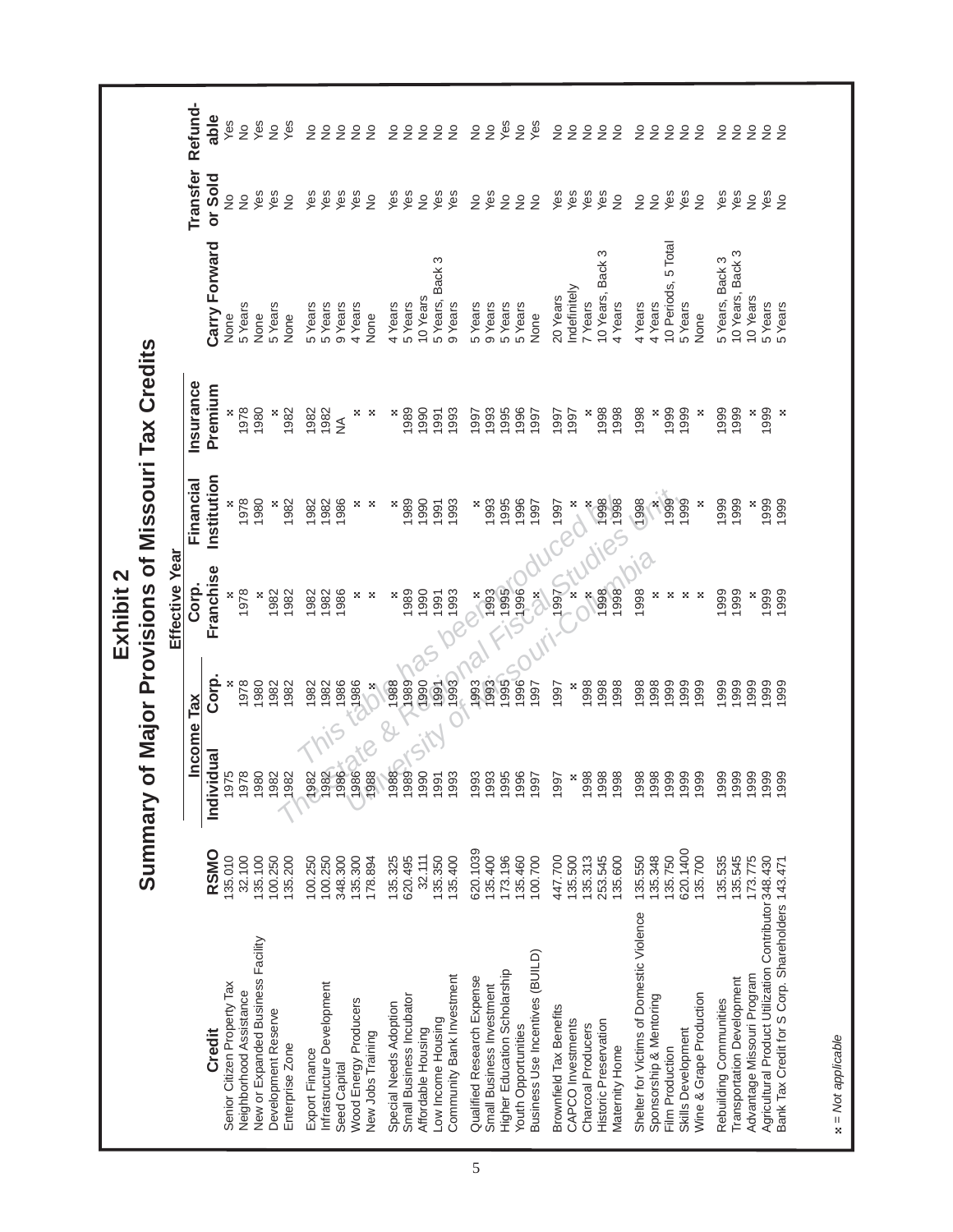|                                                      |          |                        |                               | Exhibit 2           |                  |                                             |                        |               |                            |
|------------------------------------------------------|----------|------------------------|-------------------------------|---------------------|------------------|---------------------------------------------|------------------------|---------------|----------------------------|
|                                                      | Summary  |                        |                               |                     |                  | of Major Provisions of Missouri Tax Credits |                        |               |                            |
|                                                      |          |                        |                               | Effective Year      |                  |                                             |                        |               |                            |
|                                                      |          | Income                 | TaX                           | Corp.               | Financial        | <b>Insurance</b>                            |                        | Transfer      | Refund-                    |
| Credit                                               | RSMO     | Individual             | Corp.                         | Franchise           | Institution      | Premium                                     | Carry Forward          | or Sold       | able                       |
| Senior Citizen Property Tax                          | 135.010  | 975                    |                               |                     |                  |                                             | None                   |               | Yes                        |
| Neighborhood Assistance                              | 32.100   | 978                    | 1978                          | 1978                | 1978             | 1978                                        | 5 Years                | $\frac{1}{2}$ | $\frac{1}{2}$              |
| New or Expanded Business Facility                    | 35.100   | 980                    | 1980                          | ×                   | 1980             | 1980                                        | None                   | Yes           | Yes                        |
| Development Reserve                                  | 00.250   | 982                    | 1982                          | 1982<br>1982        | ×                | ×                                           | 5 Years                | Yes           | $\frac{1}{2}$              |
| Enterprise Zone                                      | 135.200  | 1982                   | 1982                          |                     | 1982             | 1982                                        | None                   | $\frac{1}{2}$ | Yes                        |
| Export Finance                                       | 00.250   | 1982                   | 1982                          | 1982                | 1982             | 1982                                        | 5 Years                | Yes           | $\frac{1}{2}$              |
| Infrastructure Development                           | 100.250  | 982                    | 1982                          | 1982                | 1982             | 1982                                        | 5 Years                | Yes           | $\frac{1}{2}$              |
| Seed Capital                                         | 348.300  | 886                    | 1986                          | 1986                | 1986             | $\frac{1}{2}$                               | 9 Years                | Yes           | $\frac{1}{2}$              |
| Wood Energy Producers                                | 135.300  | 1986                   | 386                           | ×                   | ×                | ×                                           | 4 Years                | Yes           | $\frac{1}{2}$              |
| New Jobs Training                                    | 78.894   | <b>YB&amp;</b><br>1988 | $\frac{\mathbf{x}}{\sqrt{2}}$ | ×                   | ×                | ×                                           | None                   | $\frac{1}{2}$ | $\stackrel{\circ}{\simeq}$ |
| Special Needs Adoption                               | 135.325  | 1988                   | 1988                          | ×                   | ×                | ×                                           | 4 Years                | Yes           | $\frac{1}{2}$              |
| Small Business Incubator                             | 620.495  | 1989                   | 1989                          | 1989                | 1989             | 1989                                        | 5 Years                | Yes           | $\stackrel{\circ}{\simeq}$ |
| Affordable Housing                                   | 32.111   | 990                    | (1990)                        | 1990                | 1990             | 1990                                        | 10 Years               | $\frac{1}{2}$ | $\frac{1}{2}$              |
| Low Income Housing                                   | 135.350  | Sity<br>991            | 1991<br>1993                  | 1991                | 1991             | 1991                                        | 5 Years, Back 3        | Yes           | $\frac{1}{2}$              |
| Community Bank Investment                            | 135.400  | 1993                   |                               | 1993                | 1993             | 1993                                        | 9 Years                | Yes           | $\frac{1}{2}$              |
| Qualified Research Expense                           | 620.1039 | 993                    | 1993                          | ×<br>$\overline{Q}$ | ×                | 1997                                        | 5 Years                | $\frac{1}{2}$ | $\frac{1}{2}$              |
| Small Business Investment                            | 35.400   |                        | 1993                          | 1993                | 1993             | 993                                         | 9 Years                | Yes           | $\frac{1}{2}$              |
| Higher Education Scholarship                         | 73.196   | <b>1993</b><br>1995    | 1995                          | <b>1995</b>         | 1995             | 1995                                        | 5 Years                | $\frac{1}{2}$ | Yes                        |
| <b>Youth Opportunities</b>                           | 35.460   | 1996                   | (1996)                        |                     | 1996             | 1996                                        | 5 Years                | $\frac{1}{2}$ | $\frac{1}{2}$              |
| Business Use Incentives (BUILD)                      | 00.700   | 1997                   | 1997                          | $\frac{8}{2}$       | 1997             | 1997                                        | None                   | $\frac{1}{2}$ | Yes                        |
| Brownfield Tax Benefits                              | 447.700  | 1997                   | 1997                          | 1997                | 1997             | 1997                                        | 20 Years               | Yes           | $\frac{1}{2}$              |
| CAPCO Investments                                    | 135.500  | ×                      | ×                             | ×                   | $\sum_{k=1}^{n}$ | 1997                                        | Indefinitely           | Yes           | $\frac{1}{2}$              |
| Charcoal Producers                                   | 135.313  | 1998                   | 1998                          | ×                   |                  | ×                                           | 7 Years                | Yes           | $\frac{1}{2}$              |
| Historic Preservation                                | 253.545  | 1998                   | 1998                          | 1998                |                  | 1998                                        | 10 Years, Back 3       | Yes           | $\frac{1}{2}$              |
| Maternity Home                                       | 135.600  | 1998                   | 1998                          | 1998                | 101180 PM        | 1998                                        | 4 Years                | $\frac{1}{2}$ | $\frac{1}{2}$              |
| Shelter for Victims of Domestic Violence             | 135.550  | 1998                   | 1998                          | 1998                | 1998             | 1998                                        | 4 Years                | $\frac{1}{2}$ | $\frac{1}{2}$              |
| Sponsorship & Mentoring                              | 135.348  | 1998                   | 1998                          | ×                   |                  | ×                                           | 4 Years                | $\frac{1}{2}$ | $\frac{1}{2}$              |
| Film Production                                      | 35.750   | 1999                   | 1999                          | ×                   | <b>880</b>       | 1999                                        | 5 Total<br>10 Periods, | Yes           | $\frac{1}{2}$              |
| Skills Development                                   | 320.1400 | 1999                   | 999                           | ×                   | 1999             | 1999                                        | 5 Years                | Yes           | $\frac{1}{2}$              |
| Wine & Grape Production                              | 35.700   | 1999                   | 999                           | ×                   | ×                | ×                                           | None                   | $\frac{1}{2}$ | $\frac{1}{2}$              |
| Rebuilding Communities                               | 35.535   | 1999                   | 999                           | 1999                | 1999             | 1999                                        | 5 Years, Back 3        | Yes           | $\frac{1}{2}$              |
| <b>Transportation Development</b>                    | 35.545   | 1999                   | 1999                          | 1999                | 1999             | 1999                                        | 10 Years, Back 3       | Yes           | $\frac{1}{2}$              |
| Advantage Missouri Program                           | 73.775   | 1999                   | 1999                          | ×                   | ×                | ×                                           | 10 Years               | $\frac{1}{2}$ | $\frac{1}{2}$              |
| Agricultural Product Utilization Contributor 348.430 |          | 1999                   | 1999                          | 1999                | 1999             | 1999                                        | 5 Years                | Yes           | $\frac{1}{2}$              |
| Bank Tax Credit for S Corp. Shareholders 143.471     |          | 999                    | 1999                          | 1999                | 1999             | ×                                           | 5 Years                | $\frac{1}{2}$ | $\frac{1}{2}$              |
|                                                      |          |                        |                               |                     |                  |                                             |                        |               |                            |

 $x = Not$  applicable  *= Not applicable*